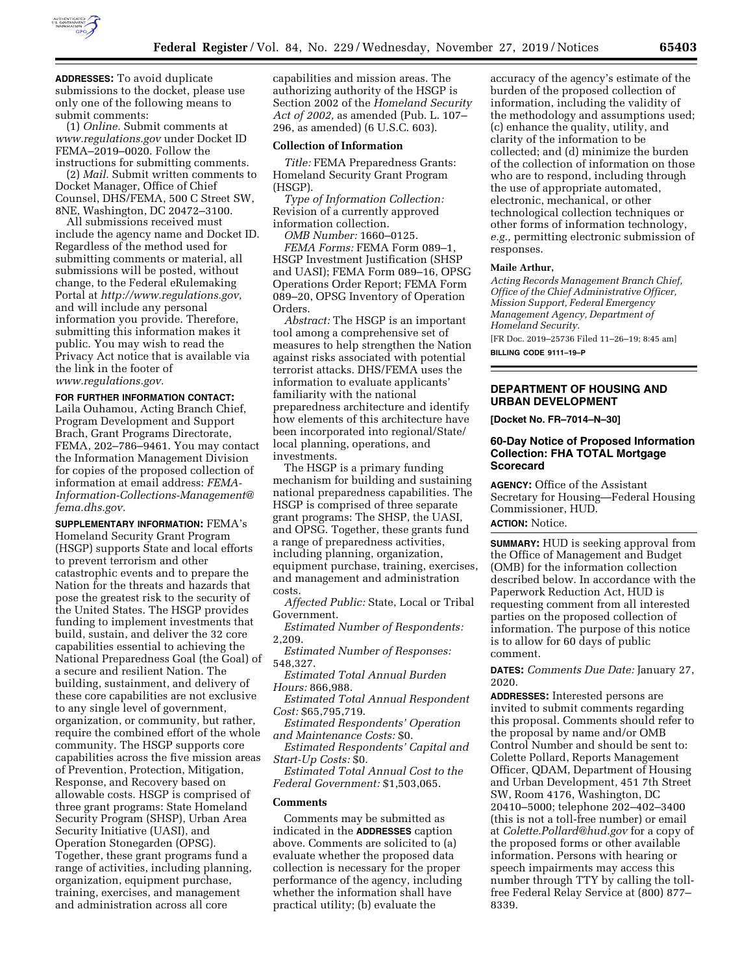

**ADDRESSES:** To avoid duplicate submissions to the docket, please use only one of the following means to submit comments:

(1) *Online.* Submit comments at *[www.regulations.gov](http://www.regulations.gov)* under Docket ID FEMA–2019–0020. Follow the instructions for submitting comments.

(2) *Mail.* Submit written comments to Docket Manager, Office of Chief Counsel, DHS/FEMA, 500 C Street SW, 8NE, Washington, DC 20472–3100.

All submissions received must include the agency name and Docket ID. Regardless of the method used for submitting comments or material, all submissions will be posted, without change, to the Federal eRulemaking Portal at *[http://www.regulations.gov,](http://www.regulations.gov)*  and will include any personal information you provide. Therefore, submitting this information makes it public. You may wish to read the Privacy Act notice that is available via the link in the footer of *[www.regulations.gov.](http://www.regulations.gov)* 

#### **FOR FURTHER INFORMATION CONTACT:**

Laila Ouhamou, Acting Branch Chief, Program Development and Support Brach, Grant Programs Directorate, FEMA, 202–786–9461. You may contact the Information Management Division for copies of the proposed collection of information at email address: *[FEMA-](mailto:FEMA-Information-Collections-Management@fema.dhs.gov)[Information-Collections-Management@](mailto:FEMA-Information-Collections-Management@fema.dhs.gov) [fema.dhs.gov.](mailto:FEMA-Information-Collections-Management@fema.dhs.gov)* 

**SUPPLEMENTARY INFORMATION:** FEMA's Homeland Security Grant Program (HSGP) supports State and local efforts to prevent terrorism and other catastrophic events and to prepare the Nation for the threats and hazards that pose the greatest risk to the security of the United States. The HSGP provides funding to implement investments that build, sustain, and deliver the 32 core capabilities essential to achieving the National Preparedness Goal (the Goal) of a secure and resilient Nation. The building, sustainment, and delivery of these core capabilities are not exclusive to any single level of government, organization, or community, but rather, require the combined effort of the whole community. The HSGP supports core capabilities across the five mission areas of Prevention, Protection, Mitigation, Response, and Recovery based on allowable costs. HSGP is comprised of three grant programs: State Homeland Security Program (SHSP), Urban Area Security Initiative (UASI), and Operation Stonegarden (OPSG). Together, these grant programs fund a range of activities, including planning, organization, equipment purchase, training, exercises, and management and administration across all core

capabilities and mission areas. The authorizing authority of the HSGP is Section 2002 of the *Homeland Security Act of 2002,* as amended (Pub. L. 107– 296, as amended) (6 U.S.C. 603).

#### **Collection of Information**

*Title:* FEMA Preparedness Grants: Homeland Security Grant Program (HSGP).

*Type of Information Collection:*  Revision of a currently approved information collection.

*OMB Number:* 1660–0125.

*FEMA Forms:* FEMA Form 089–1, HSGP Investment Justification (SHSP and UASI); FEMA Form 089–16, OPSG Operations Order Report; FEMA Form 089–20, OPSG Inventory of Operation Orders.

*Abstract:* The HSGP is an important tool among a comprehensive set of measures to help strengthen the Nation against risks associated with potential terrorist attacks. DHS/FEMA uses the information to evaluate applicants' familiarity with the national preparedness architecture and identify how elements of this architecture have been incorporated into regional/State/ local planning, operations, and investments.

The HSGP is a primary funding mechanism for building and sustaining national preparedness capabilities. The HSGP is comprised of three separate grant programs: The SHSP, the UASI, and OPSG. Together, these grants fund a range of preparedness activities, including planning, organization, equipment purchase, training, exercises, and management and administration costs.

*Affected Public:* State, Local or Tribal Government.

*Estimated Number of Respondents:*  2,209.

*Estimated Number of Responses:*  548,327.

*Estimated Total Annual Burden Hours:* 866,988.

*Estimated Total Annual Respondent Cost:* \$65,795,719.

*Estimated Respondents' Operation and Maintenance Costs:* \$0.

*Estimated Respondents' Capital and Start-Up Costs:* \$0.

*Estimated Total Annual Cost to the Federal Government:* \$1,503,065.

#### **Comments**

Comments may be submitted as indicated in the **ADDRESSES** caption above. Comments are solicited to (a) evaluate whether the proposed data collection is necessary for the proper performance of the agency, including whether the information shall have practical utility; (b) evaluate the

accuracy of the agency's estimate of the burden of the proposed collection of information, including the validity of the methodology and assumptions used; (c) enhance the quality, utility, and clarity of the information to be collected; and (d) minimize the burden of the collection of information on those who are to respond, including through the use of appropriate automated, electronic, mechanical, or other technological collection techniques or other forms of information technology, *e.g.,* permitting electronic submission of responses.

#### **Maile Arthur,**

*Acting Records Management Branch Chief, Office of the Chief Administrative Officer, Mission Support, Federal Emergency Management Agency, Department of Homeland Security.* 

[FR Doc. 2019–25736 Filed 11–26–19; 8:45 am] **BILLING CODE 9111–19–P** 

**DEPARTMENT OF HOUSING AND URBAN DEVELOPMENT** 

**[Docket No. FR–7014–N–30]** 

## **60-Day Notice of Proposed Information Collection: FHA TOTAL Mortgage Scorecard**

**AGENCY:** Office of the Assistant Secretary for Housing—Federal Housing Commissioner, HUD. **ACTION:** Notice.

**SUMMARY:** HUD is seeking approval from the Office of Management and Budget (OMB) for the information collection described below. In accordance with the Paperwork Reduction Act, HUD is requesting comment from all interested parties on the proposed collection of information. The purpose of this notice is to allow for 60 days of public comment.

**DATES:** *Comments Due Date:* January 27, 2020.

**ADDRESSES:** Interested persons are invited to submit comments regarding this proposal. Comments should refer to the proposal by name and/or OMB Control Number and should be sent to: Colette Pollard, Reports Management Officer, QDAM, Department of Housing and Urban Development, 451 7th Street SW, Room 4176, Washington, DC 20410–5000; telephone 202–402–3400 (this is not a toll-free number) or email at *[Colette.Pollard@hud.gov](mailto:Colette.Pollard@hud.gov)* for a copy of the proposed forms or other available information. Persons with hearing or speech impairments may access this number through TTY by calling the tollfree Federal Relay Service at (800) 877– 8339.